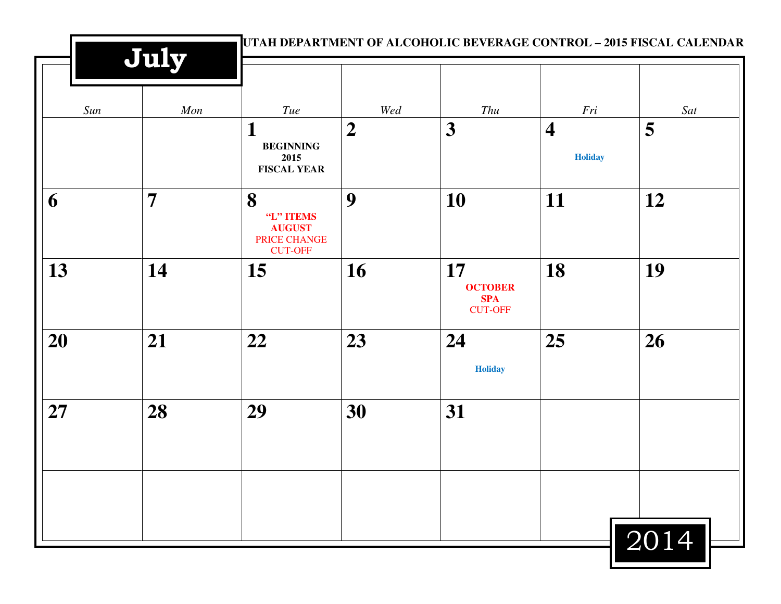|     | July           |                                                                   |                  |                                                      |                                           | UTAH DEPARTMENT OF ALCOHOLIC BEVERAGE CONTROL - 2015 FISCAL CALENDAR |
|-----|----------------|-------------------------------------------------------------------|------------------|------------------------------------------------------|-------------------------------------------|----------------------------------------------------------------------|
| Sun | Mon            | Tue                                                               | Wed              | Thu                                                  | Fri                                       | Sat                                                                  |
|     |                | 1<br><b>BEGINNING</b><br>2015<br><b>FISCAL YEAR</b>               | $\boldsymbol{2}$ | 3                                                    | $\overline{\mathbf{4}}$<br><b>Holiday</b> | 5                                                                    |
| 6   | $\overline{7}$ | 8<br>"L" ITEMS<br><b>AUGUST</b><br>PRICE CHANGE<br><b>CUT-OFF</b> | 9                | 10                                                   | 11                                        | 12                                                                   |
| 13  | 14             | 15                                                                | 16               | 17<br><b>OCTOBER</b><br><b>SPA</b><br><b>CUT-OFF</b> | 18                                        | 19                                                                   |
| 20  | 21             | 22                                                                | 23               | 24<br><b>Holiday</b>                                 | 25                                        | 26                                                                   |
| 27  | 28             | 29                                                                | 30               | 31                                                   |                                           |                                                                      |
|     |                |                                                                   |                  |                                                      |                                           | 2014                                                                 |

<u> Maria Maria (</u>

Ш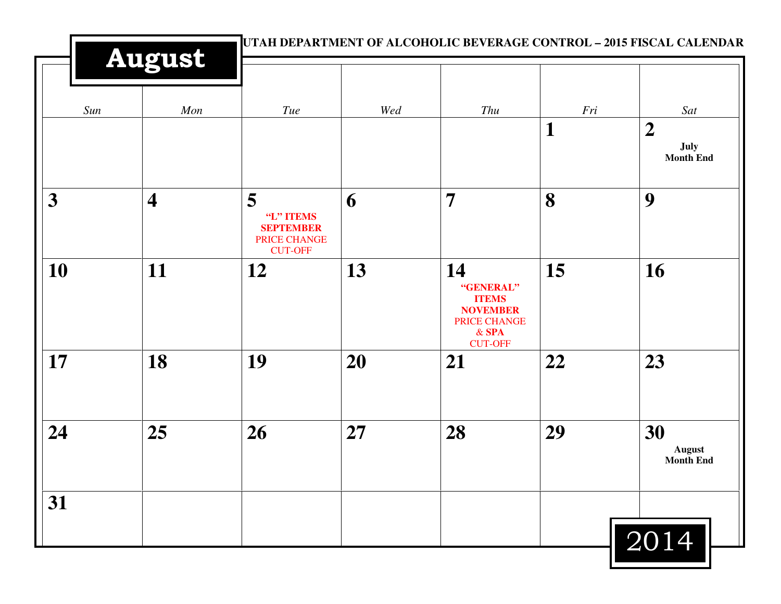|                  | <b>August</b>           |                                                                      |     |                                                                                                 |     | UTAH DEPARTMENT OF ALCOHOLIC BEVERAGE CONTROL - 2015 FISCAL CALENDAR |
|------------------|-------------------------|----------------------------------------------------------------------|-----|-------------------------------------------------------------------------------------------------|-----|----------------------------------------------------------------------|
| Sun              | Mon                     | Tue                                                                  | Wed | Thu                                                                                             | Fri | Sat                                                                  |
|                  |                         |                                                                      |     |                                                                                                 | 1   | $\boldsymbol{2}$<br>July<br><b>Month End</b>                         |
| $\boldsymbol{3}$ | $\overline{\mathbf{4}}$ | 5<br>"L" ITEMS<br><b>SEPTEMBER</b><br>PRICE CHANGE<br><b>CUT-OFF</b> | 6   | $\overline{7}$                                                                                  | 8   | 9                                                                    |
| 10               | 11                      | 12                                                                   | 13  | 14<br>"GENERAL"<br><b>ITEMS</b><br><b>NOVEMBER</b><br>PRICE CHANGE<br>$&$ SPA<br><b>CUT-OFF</b> | 15  | 16                                                                   |
| 17               | 18                      | 19                                                                   | 20  | 21                                                                                              | 22  | 23                                                                   |
| 24               | 25                      | 26                                                                   | 27  | 28                                                                                              | 29  | 30<br><b>August</b><br><b>Month End</b>                              |
| 31               |                         |                                                                      |     |                                                                                                 |     | 2014                                                                 |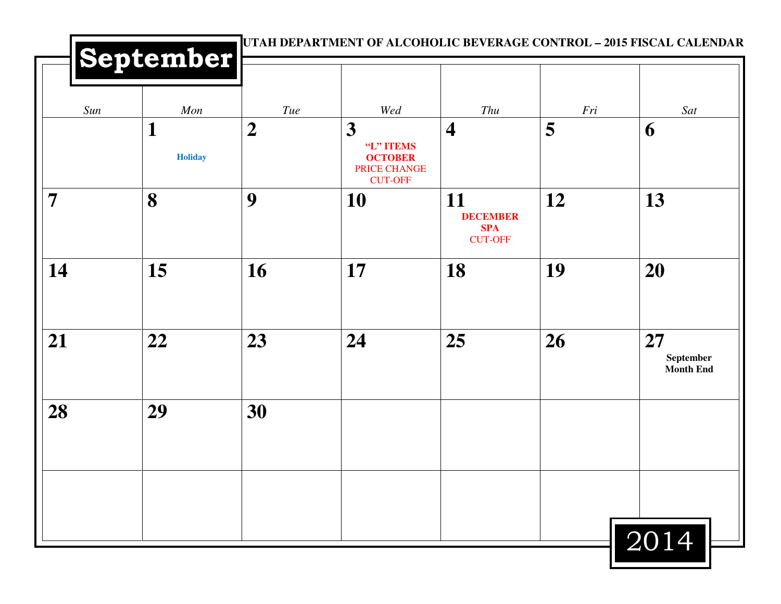|     |                            |                         |                                                                                                 | Thu                                                   |          |                                     |
|-----|----------------------------|-------------------------|-------------------------------------------------------------------------------------------------|-------------------------------------------------------|----------|-------------------------------------|
| Sun | Mon<br>1<br><b>Holiday</b> | Tue<br>$\boldsymbol{2}$ | Wed<br>$\overline{\mathbf{3}}$<br>"L" ITEMS<br><b>OCTOBER</b><br>PRICE CHANGE<br><b>CUT-OFF</b> | $\overline{\mathbf{4}}$                               | Fri<br>5 | Sat<br>6                            |
| 7   | 8                          | 9                       | <b>10</b>                                                                                       | 11<br><b>DECEMBER</b><br><b>SPA</b><br><b>CUT-OFF</b> | 12       | 13                                  |
| 14  | 15                         | 16                      | 17                                                                                              | 18                                                    | 19       | 20                                  |
| 21  | 22                         | 23                      | 24                                                                                              | 25                                                    | 26       | 27<br>September<br><b>Month End</b> |
| 28  | 29                         | 30                      |                                                                                                 |                                                       |          |                                     |
|     |                            |                         |                                                                                                 |                                                       |          |                                     |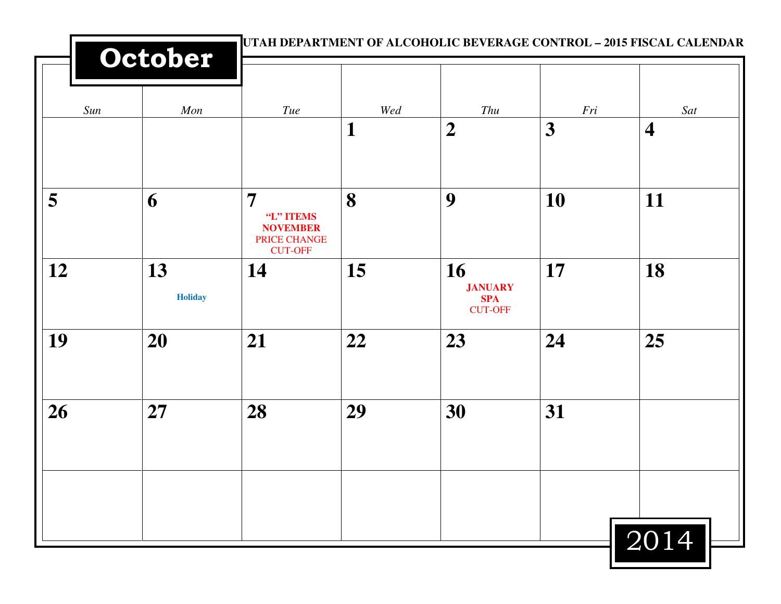|     | October              |                                                                                  | UTAH DEPARTMENT OF ALCOHOLIC BEVERAGE CONTROL - 2015 FISCAL CALENDAR |                                                      |          |                                |
|-----|----------------------|----------------------------------------------------------------------------------|----------------------------------------------------------------------|------------------------------------------------------|----------|--------------------------------|
| Sun | Mon                  | <b>Tue</b>                                                                       | Wed<br>1                                                             | Thu<br>$\boldsymbol{2}$                              | Fri<br>3 | Sat<br>$\overline{\mathbf{4}}$ |
|     |                      |                                                                                  |                                                                      |                                                      |          |                                |
| 5   | 6                    | $\overline{7}$<br>"L" ITEMS<br><b>NOVEMBER</b><br>PRICE CHANGE<br><b>CUT-OFF</b> | 8                                                                    | 9                                                    | 10       | 11                             |
| 12  | 13<br><b>Holiday</b> | 14                                                                               | 15                                                                   | 16<br><b>JANUARY</b><br><b>SPA</b><br><b>CUT-OFF</b> | 17       | 18                             |
| 19  | 20                   | 21                                                                               | 22                                                                   | 23                                                   | 24       | 25                             |
| 26  | 27                   | 28                                                                               | 29                                                                   | 30                                                   | 31       |                                |
|     |                      |                                                                                  |                                                                      |                                                      |          |                                |
|     |                      |                                                                                  |                                                                      |                                                      |          | 2014                           |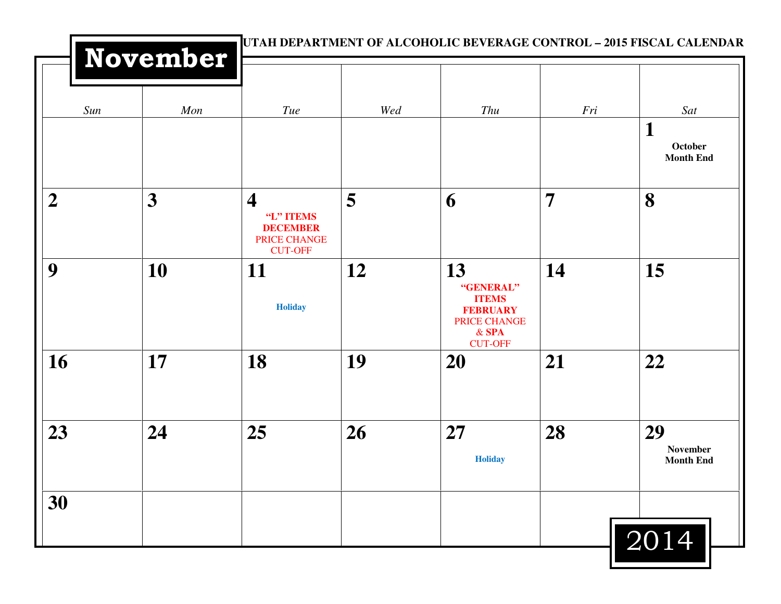|                  | November |                                                                                           |     | UTAH DEPARTMENT OF ALCOHOLIC BEVERAGE CONTROL - 2015 FISCAL CALENDAR                            |                |                                    |
|------------------|----------|-------------------------------------------------------------------------------------------|-----|-------------------------------------------------------------------------------------------------|----------------|------------------------------------|
| Sun              | Mon      | Tue                                                                                       | Wed | Thu                                                                                             | Fri            | Sat<br>1                           |
|                  |          |                                                                                           |     |                                                                                                 |                | October<br><b>Month End</b>        |
| $\boldsymbol{2}$ | 3        | $\overline{\mathbf{4}}$<br>"L" ITEMS<br><b>DECEMBER</b><br>PRICE CHANGE<br><b>CUT-OFF</b> | 5   | 6                                                                                               | $\overline{7}$ | 8                                  |
| 9                | 10       | <b>11</b><br><b>Holiday</b>                                                               | 12  | 13<br>"GENERAL"<br><b>ITEMS</b><br><b>FEBRUARY</b><br>PRICE CHANGE<br>$&$ SPA<br><b>CUT-OFF</b> | 14             | 15                                 |
| 16               | 17       | 18                                                                                        | 19  | <b>20</b>                                                                                       | 21             | 22                                 |
| 23               | 24       | 25                                                                                        | 26  | <b>27</b><br><b>Holiday</b>                                                                     | 28             | 29<br>November<br><b>Month End</b> |
| 30               |          |                                                                                           |     |                                                                                                 |                | 2014                               |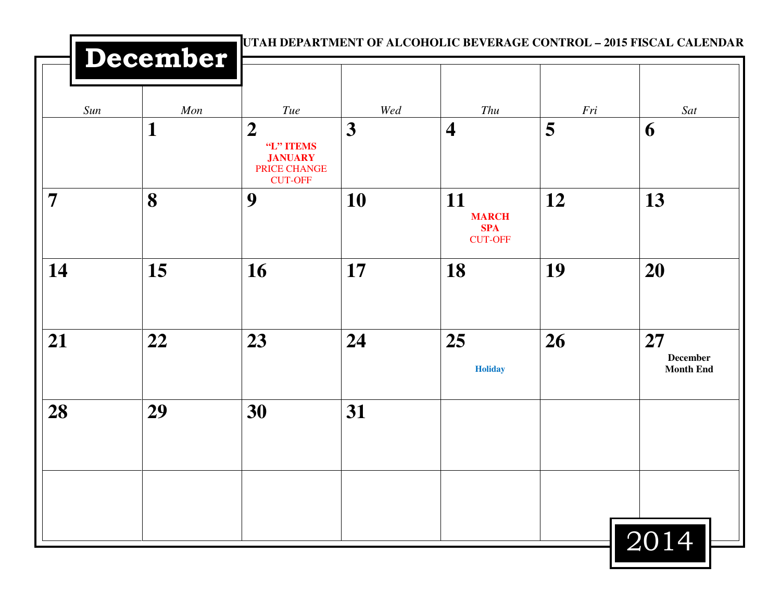|                | December |                                                                                   |                         |                                                    |     | UTAH DEPARTMENT OF ALCOHOLIC BEVERAGE CONTROL - 2015 FISCAL CALENDAR |
|----------------|----------|-----------------------------------------------------------------------------------|-------------------------|----------------------------------------------------|-----|----------------------------------------------------------------------|
| Sun            | Mon      | Tue                                                                               | Wed                     | Thu                                                | Fri | Sat                                                                  |
|                | 1        | $\boldsymbol{2}$<br>"L" ITEMS<br><b>JANUARY</b><br>PRICE CHANGE<br><b>CUT-OFF</b> | $\overline{\mathbf{3}}$ | $\overline{\mathbf{4}}$                            | 5   | 6                                                                    |
| $\overline{7}$ | 8        | 9                                                                                 | 10                      | 11<br><b>MARCH</b><br><b>SPA</b><br><b>CUT-OFF</b> | 12  | 13                                                                   |
| 14             | 15       | 16                                                                                | 17                      | 18                                                 | 19  | 20                                                                   |
| 21             | 22       | 23                                                                                | 24                      | 25<br><b>Holiday</b>                               | 26  | 27<br><b>December</b><br><b>Month End</b>                            |
| 28             | 29       | 30                                                                                | 31                      |                                                    |     |                                                                      |
|                |          |                                                                                   |                         |                                                    |     | 2014                                                                 |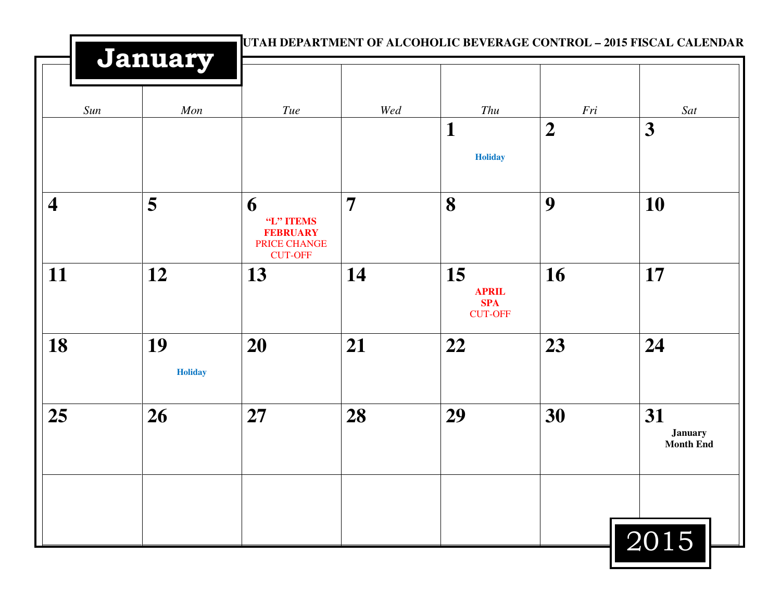|                          | January              |                                                                     |                | UTAH DEPARTMENT OF ALCOHOLIC BEVERAGE CONTROL - 2015 FISCAL CALENDAR |                  |                                          |  |
|--------------------------|----------------------|---------------------------------------------------------------------|----------------|----------------------------------------------------------------------|------------------|------------------------------------------|--|
| Sun                      | Mon                  | Tue                                                                 | Wed            | Thu                                                                  | Fri              | Sat                                      |  |
|                          |                      |                                                                     |                | $\mathbf{1}$<br><b>Holiday</b>                                       | $\boldsymbol{2}$ | $\overline{\mathbf{3}}$                  |  |
| $\overline{\mathcal{A}}$ | 5                    | 6<br>"L" ITEMS<br><b>FEBRUARY</b><br>PRICE CHANGE<br><b>CUT-OFF</b> | $\overline{7}$ | 8                                                                    | 9                | 10                                       |  |
| 11                       | 12                   | 13                                                                  | 14             | 15<br><b>APRIL</b><br><b>SPA</b><br><b>CUT-OFF</b>                   | 16               | 17                                       |  |
| 18                       | 19<br><b>Holiday</b> | 20                                                                  | 21             | 22                                                                   | 23               | 24                                       |  |
| 25                       | 26                   | 27                                                                  | 28             | 29                                                                   | 30               | 31<br><b>January</b><br><b>Month End</b> |  |
|                          |                      |                                                                     |                |                                                                      |                  | 2015                                     |  |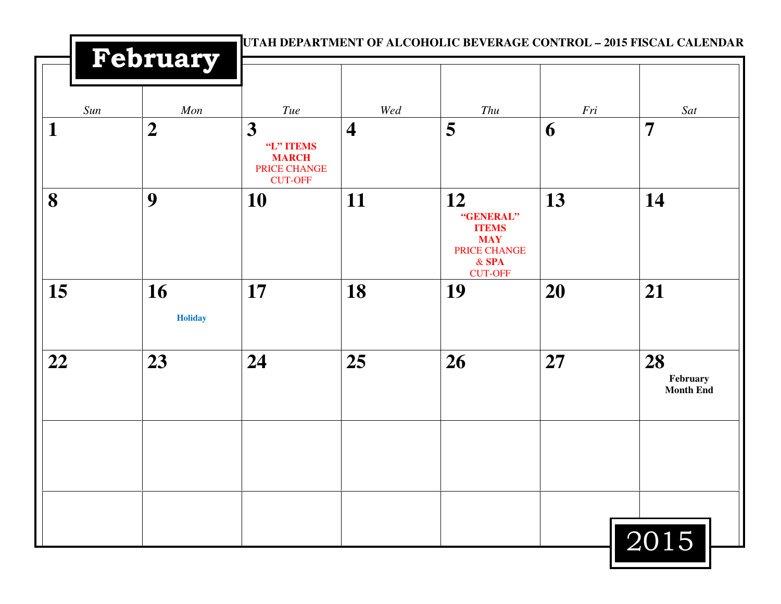|     | February             |                                                                  |                         | UTAH DEPARTMENT OF ALCOHOLIC BEVERAGE CONTROL - 2015 FISCAL CALENDAR                       |     |                                    |
|-----|----------------------|------------------------------------------------------------------|-------------------------|--------------------------------------------------------------------------------------------|-----|------------------------------------|
| Sun | Mon                  | Tue                                                              | Wed                     | Thu                                                                                        | Fri | Sat                                |
| 1   | $\boldsymbol{2}$     | 3<br>"L" ITEMS<br><b>MARCH</b><br>PRICE CHANGE<br><b>CUT-OFF</b> | $\overline{\mathbf{4}}$ | 5                                                                                          | 6   | $\overline{7}$                     |
| 8   | 9                    | 10                                                               | 11                      | 12<br>"GENERAL"<br><b>ITEMS</b><br><b>MAY</b><br>PRICE CHANGE<br>$&$ SPA<br><b>CUT-OFF</b> | 13  | 14                                 |
| 15  | 16<br><b>Holiday</b> | 17                                                               | 18                      | 19                                                                                         | 20  | 21                                 |
| 22  | 23                   | 24                                                               | 25                      | 26                                                                                         | 27  | 28<br>February<br><b>Month End</b> |
|     |                      |                                                                  |                         |                                                                                            |     | 2015                               |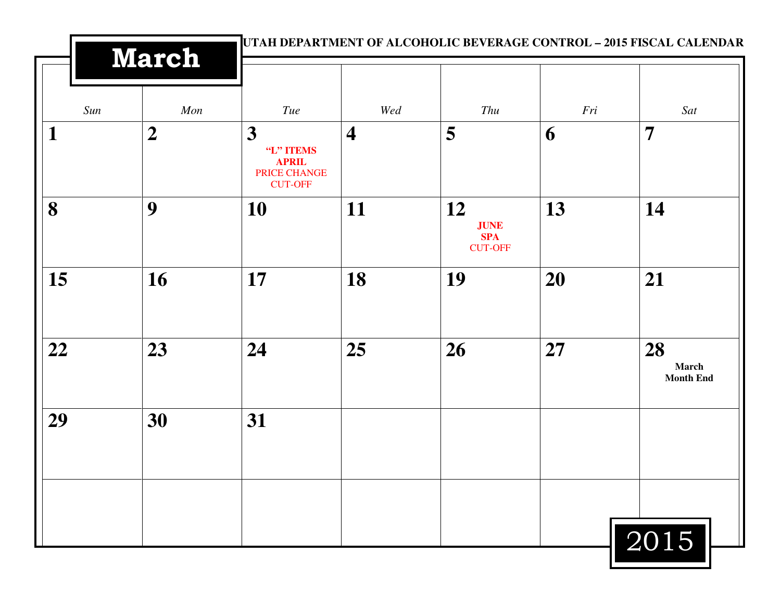| <b>March</b> |                | UTAH DEPARTMENT OF ALCOHOLIC BEVERAGE CONTROL - 2015 FISCAL CALENDAR |                         |                                                   |     |                                 |  |
|--------------|----------------|----------------------------------------------------------------------|-------------------------|---------------------------------------------------|-----|---------------------------------|--|
| Sun          | Mon            | <b>Tue</b>                                                           | Wed                     | Thu                                               | Fri | Sat                             |  |
| 1            | $\overline{2}$ | 3<br>"L" ITEMS<br><b>APRIL</b><br>PRICE CHANGE<br><b>CUT-OFF</b>     | $\overline{\mathbf{4}}$ | 5                                                 | 6   | $\overline{7}$                  |  |
| 8            | 9              | 10                                                                   | 11                      | 12<br><b>JUNE</b><br><b>SPA</b><br><b>CUT-OFF</b> | 13  | 14                              |  |
| 15           | 16             | 17                                                                   | 18                      | 19                                                | 20  | 21                              |  |
| 22           | 23             | 24                                                                   | 25                      | 26                                                | 27  | 28<br>March<br><b>Month End</b> |  |
| 29           | 30             | 31                                                                   |                         |                                                   |     |                                 |  |
|              |                |                                                                      |                         |                                                   |     | 2015                            |  |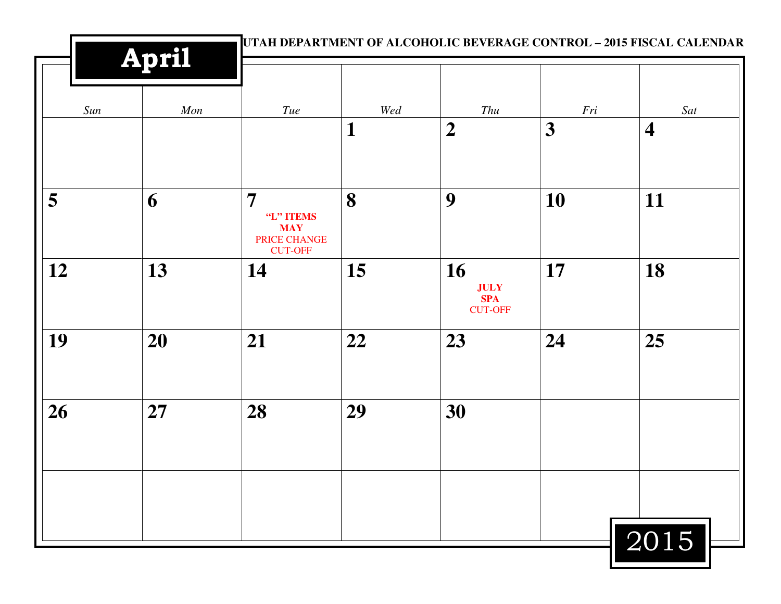|     | April |                                                                             |     | UTAH DEPARTMENT OF ALCOHOLIC BEVERAGE CONTROL - 2015 FISCAL CALENDAR |     |                         |
|-----|-------|-----------------------------------------------------------------------------|-----|----------------------------------------------------------------------|-----|-------------------------|
| Sun | Mon   | Tue                                                                         | Wed | Thu                                                                  | Fri | Sat                     |
|     |       |                                                                             | 1   | $\boldsymbol{2}$                                                     | 3   | $\overline{\mathbf{4}}$ |
| 5   | 6     | $\overline{7}$<br>"L" ITEMS<br><b>MAY</b><br>PRICE CHANGE<br><b>CUT-OFF</b> | 8   | 9                                                                    | 10  | 11                      |
| 12  | 13    | 14                                                                          | 15  | 16<br><b>JULY</b><br><b>SPA</b><br><b>CUT-OFF</b>                    | 17  | 18                      |
| 19  | 20    | 21                                                                          | 22  | 23                                                                   | 24  | 25                      |
| 26  | 27    | 28                                                                          | 29  | 30                                                                   |     |                         |
|     |       |                                                                             |     |                                                                      |     |                         |
|     |       |                                                                             |     |                                                                      |     | 2015                    |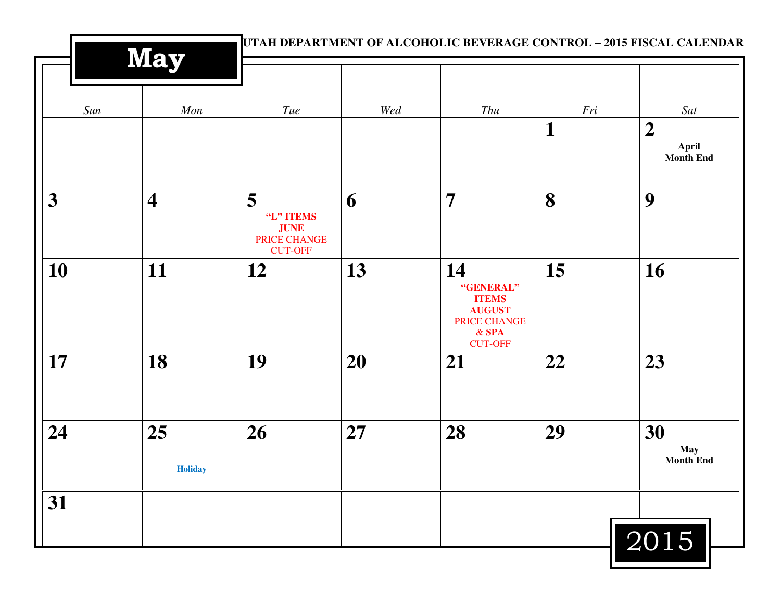|     | <b>May</b>              |                                                                 |     |                                                                                               |              | UTAH DEPARTMENT OF ALCOHOLIC BEVERAGE CONTROL - 2015 FISCAL CALENDAR |  |
|-----|-------------------------|-----------------------------------------------------------------|-----|-----------------------------------------------------------------------------------------------|--------------|----------------------------------------------------------------------|--|
| Sun | Mon                     | Tue                                                             | Wed | Thu                                                                                           | Fri          | Sat                                                                  |  |
|     |                         |                                                                 |     |                                                                                               | $\mathbf{1}$ | $\boldsymbol{2}$<br>April<br><b>Month End</b>                        |  |
| 3   | $\overline{\mathbf{4}}$ | 5<br>"L" ITEMS<br><b>JUNE</b><br>PRICE CHANGE<br><b>CUT-OFF</b> | 6   | $\overline{7}$                                                                                | 8            | 9                                                                    |  |
| 10  | 11                      | 12                                                              | 13  | 14<br>"GENERAL"<br><b>ITEMS</b><br><b>AUGUST</b><br>PRICE CHANGE<br>$&$ SPA<br><b>CUT-OFF</b> | 15           | 16                                                                   |  |
| 17  | 18                      | 19                                                              | 20  | 21                                                                                            | 22           | 23                                                                   |  |
| 24  | 25<br><b>Holiday</b>    | 26                                                              | 27  | 28                                                                                            | 29           | 30<br><b>May</b><br><b>Month End</b>                                 |  |
| 31  |                         |                                                                 |     |                                                                                               |              |                                                                      |  |